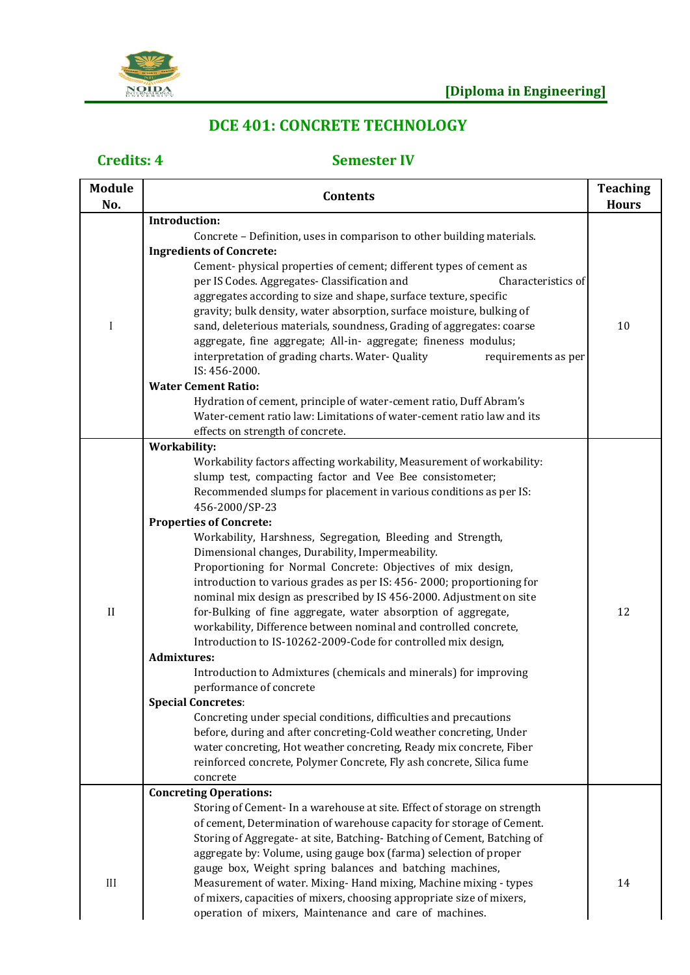

# **DCE 401: CONCRETE TECHNOLOGY**

| <b>Module</b><br>No. | <b>Contents</b>                                                                                                                                                                                                                                                                                                                                                                                                                                                                                                                                                                                                                                                                                                                                                                                                                                                                                                                                                                                                                                                                                                                                                                                                                                                                                                          | <b>Teaching</b><br><b>Hours</b> |
|----------------------|--------------------------------------------------------------------------------------------------------------------------------------------------------------------------------------------------------------------------------------------------------------------------------------------------------------------------------------------------------------------------------------------------------------------------------------------------------------------------------------------------------------------------------------------------------------------------------------------------------------------------------------------------------------------------------------------------------------------------------------------------------------------------------------------------------------------------------------------------------------------------------------------------------------------------------------------------------------------------------------------------------------------------------------------------------------------------------------------------------------------------------------------------------------------------------------------------------------------------------------------------------------------------------------------------------------------------|---------------------------------|
|                      | <b>Introduction:</b>                                                                                                                                                                                                                                                                                                                                                                                                                                                                                                                                                                                                                                                                                                                                                                                                                                                                                                                                                                                                                                                                                                                                                                                                                                                                                                     |                                 |
| I                    | Concrete - Definition, uses in comparison to other building materials.<br><b>Ingredients of Concrete:</b><br>Cement-physical properties of cement; different types of cement as<br>per IS Codes. Aggregates- Classification and<br>Characteristics of<br>aggregates according to size and shape, surface texture, specific<br>gravity; bulk density, water absorption, surface moisture, bulking of<br>sand, deleterious materials, soundness, Grading of aggregates: coarse<br>aggregate, fine aggregate; All-in- aggregate; fineness modulus;<br>interpretation of grading charts. Water- Quality<br>requirements as per<br>IS: 456-2000.<br><b>Water Cement Ratio:</b><br>Hydration of cement, principle of water-cement ratio, Duff Abram's<br>Water-cement ratio law: Limitations of water-cement ratio law and its                                                                                                                                                                                                                                                                                                                                                                                                                                                                                                 | 10                              |
| $\mathbf{I}$         | effects on strength of concrete.<br><b>Workability:</b><br>Workability factors affecting workability, Measurement of workability:<br>slump test, compacting factor and Vee Bee consistometer;<br>Recommended slumps for placement in various conditions as per IS:<br>456-2000/SP-23<br><b>Properties of Concrete:</b><br>Workability, Harshness, Segregation, Bleeding and Strength,<br>Dimensional changes, Durability, Impermeability.<br>Proportioning for Normal Concrete: Objectives of mix design,<br>introduction to various grades as per IS: 456-2000; proportioning for<br>nominal mix design as prescribed by IS 456-2000. Adjustment on site<br>for-Bulking of fine aggregate, water absorption of aggregate,<br>workability, Difference between nominal and controlled concrete,<br>Introduction to IS-10262-2009-Code for controlled mix design,<br><b>Admixtures:</b><br>Introduction to Admixtures (chemicals and minerals) for improving<br>performance of concrete<br><b>Special Concretes:</b><br>Concreting under special conditions, difficulties and precautions<br>before, during and after concreting-Cold weather concreting, Under<br>water concreting, Hot weather concreting, Ready mix concrete, Fiber<br>reinforced concrete, Polymer Concrete, Fly ash concrete, Silica fume<br>concrete | 12                              |
| III                  | <b>Concreting Operations:</b><br>Storing of Cement- In a warehouse at site. Effect of storage on strength<br>of cement, Determination of warehouse capacity for storage of Cement.<br>Storing of Aggregate- at site, Batching-Batching of Cement, Batching of<br>aggregate by: Volume, using gauge box (farma) selection of proper<br>gauge box, Weight spring balances and batching machines,<br>Measurement of water. Mixing-Hand mixing, Machine mixing - types<br>of mixers, capacities of mixers, choosing appropriate size of mixers,<br>operation of mixers, Maintenance and care of machines.                                                                                                                                                                                                                                                                                                                                                                                                                                                                                                                                                                                                                                                                                                                    | 14                              |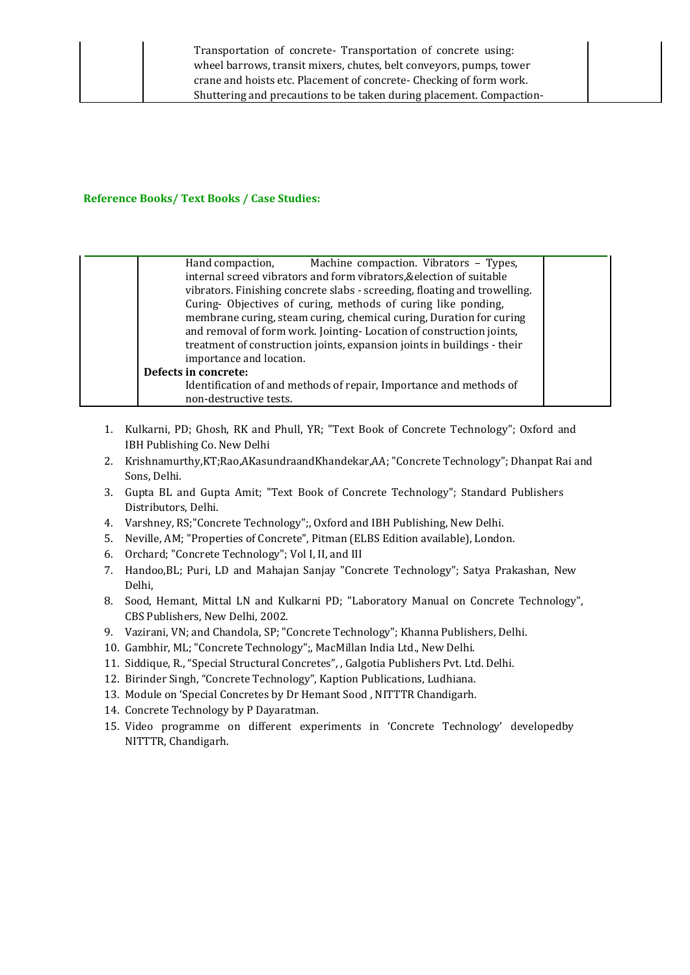| Machine compaction. Vibrators - Types,<br>Hand compaction,                |  |
|---------------------------------------------------------------------------|--|
| internal screed vibrators and form vibrators, & election of suitable      |  |
| vibrators. Finishing concrete slabs - screeding, floating and trowelling. |  |
| Curing- Objectives of curing, methods of curing like ponding,             |  |
| membrane curing, steam curing, chemical curing, Duration for curing       |  |
| and removal of form work. Jointing-Location of construction joints,       |  |
| treatment of construction joints, expansion joints in buildings - their   |  |
| importance and location.                                                  |  |
| Defects in concrete:                                                      |  |
| Identification of and methods of repair, Importance and methods of        |  |
| non-destructive tests.                                                    |  |

- 1. Kulkarni, PD; Ghosh, RK and Phull, YR; "Text Book of Concrete Technology"; Oxford and IBH Publishing Co. New Delhi
- 2. Krishnamurthy,KT;Rao,AKasundraandKhandekar,AA; "Concrete Technology"; Dhanpat Rai and Sons, Delhi.
- 3. Gupta BL and Gupta Amit; "Text Book of Concrete Technology"; Standard Publishers Distributors, Delhi.
- 4. Varshney, RS;"Concrete Technology";, Oxford and IBH Publishing, New Delhi.
- 5. Neville, AM; "Properties of Concrete", Pitman (ELBS Edition available), London.
- 6. Orchard; "Concrete Technology"; Vol I, II, and III
- 7. Handoo,BL; Puri, LD and Mahajan Sanjay "Concrete Technology"; Satya Prakashan, New Delhi,
- 8. Sood, Hemant, Mittal LN and Kulkarni PD; "Laboratory Manual on Concrete Technology", CBS Publishers, New Delhi, 2002.
- 9. Vazirani, VN; and Chandola, SP; "Concrete Technology"; Khanna Publishers, Delhi.
- 10. Gambhir, ML; "Concrete Technology";, MacMillan India Ltd., New Delhi.
- 11. Siddique, R., "Special Structural Concretes", , Galgotia Publishers Pvt. Ltd. Delhi.
- 12. Birinder Singh, "Concrete Technology", Kaption Publications, Ludhiana.
- 13. Module on 'Special Concretes by Dr Hemant Sood , NITTTR Chandigarh.
- 14. Concrete Technology by P Dayaratman.
- 15. Video programme on different experiments in 'Concrete Technology' developedby NITTTR, Chandigarh.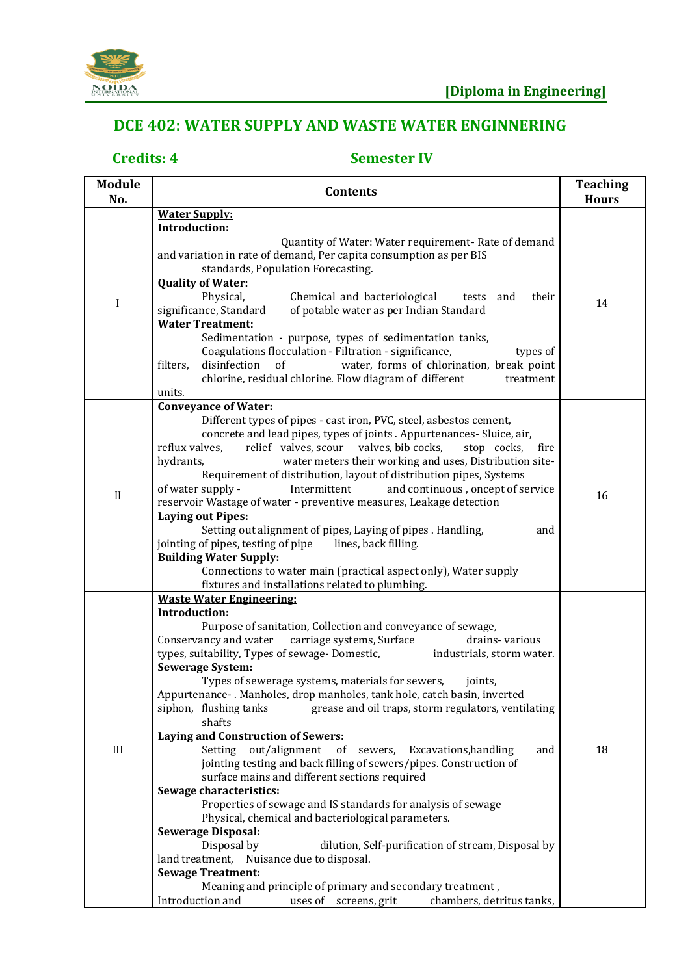

## **DCE 402: WATER SUPPLY AND WASTE WATER ENGINNERING**

| <b>Module</b><br>No. | <b>Contents</b>                                                                                                                                                                                                                                                                                                                                                                                                                                                                                                                                                                                                                                                                                                                                                                                                                                                                                                                                                                                                                                                                                                                                                                                                                                    | <b>Teaching</b><br><b>Hours</b> |
|----------------------|----------------------------------------------------------------------------------------------------------------------------------------------------------------------------------------------------------------------------------------------------------------------------------------------------------------------------------------------------------------------------------------------------------------------------------------------------------------------------------------------------------------------------------------------------------------------------------------------------------------------------------------------------------------------------------------------------------------------------------------------------------------------------------------------------------------------------------------------------------------------------------------------------------------------------------------------------------------------------------------------------------------------------------------------------------------------------------------------------------------------------------------------------------------------------------------------------------------------------------------------------|---------------------------------|
|                      | <b>Water Supply:</b>                                                                                                                                                                                                                                                                                                                                                                                                                                                                                                                                                                                                                                                                                                                                                                                                                                                                                                                                                                                                                                                                                                                                                                                                                               |                                 |
| I                    | <b>Introduction:</b><br>Quantity of Water: Water requirement- Rate of demand<br>and variation in rate of demand, Per capita consumption as per BIS<br>standards, Population Forecasting.<br><b>Quality of Water:</b><br>Physical,<br>Chemical and bacteriological<br>tests and<br>their                                                                                                                                                                                                                                                                                                                                                                                                                                                                                                                                                                                                                                                                                                                                                                                                                                                                                                                                                            | 14                              |
|                      | of potable water as per Indian Standard<br>significance, Standard<br><b>Water Treatment:</b><br>Sedimentation - purpose, types of sedimentation tanks,<br>Coagulations flocculation - Filtration - significance,<br>types of<br>disinfection<br>water, forms of chlorination, break point<br>filters,<br>of<br>chlorine, residual chlorine. Flow diagram of different<br>treatment<br>units.                                                                                                                                                                                                                                                                                                                                                                                                                                                                                                                                                                                                                                                                                                                                                                                                                                                       |                                 |
|                      | <b>Conveyance of Water:</b>                                                                                                                                                                                                                                                                                                                                                                                                                                                                                                                                                                                                                                                                                                                                                                                                                                                                                                                                                                                                                                                                                                                                                                                                                        |                                 |
| $\mathbf{I}$         | Different types of pipes - cast iron, PVC, steel, asbestos cement,<br>concrete and lead pipes, types of joints . Appurtenances- Sluice, air,<br>relief valves, scour valves, bib cocks,<br>reflux valves,<br>stop cocks,<br>fire<br>hydrants,<br>water meters their working and uses, Distribution site-<br>Requirement of distribution, layout of distribution pipes, Systems<br>of water supply -<br>Intermittent<br>and continuous, oncept of service<br>reservoir Wastage of water - preventive measures, Leakage detection<br><b>Laying out Pipes:</b><br>Setting out alignment of pipes, Laying of pipes . Handling,<br>and<br>jointing of pipes, testing of pipe<br>lines, back filling.<br><b>Building Water Supply:</b><br>Connections to water main (practical aspect only), Water supply<br>fixtures and installations related to plumbing.                                                                                                                                                                                                                                                                                                                                                                                             | 16                              |
| III                  | <b>Waste Water Engineering:</b><br>Introduction:<br>Purpose of sanitation, Collection and conveyance of sewage,<br>Conservancy and water carriage systems, Surface<br>drains-various<br>types, suitability, Types of sewage- Domestic,<br>industrials, storm water.<br><b>Sewerage System:</b><br>Types of sewerage systems, materials for sewers,<br>joints,<br>Appurtenance-. Manholes, drop manholes, tank hole, catch basin, inverted<br>grease and oil traps, storm regulators, ventilating<br>siphon, flushing tanks<br>shafts<br><b>Laying and Construction of Sewers:</b><br>Setting out/alignment<br>of<br>sewers, Excavations, handling<br>and<br>jointing testing and back filling of sewers/pipes. Construction of<br>surface mains and different sections required<br>Sewage characteristics:<br>Properties of sewage and IS standards for analysis of sewage<br>Physical, chemical and bacteriological parameters.<br><b>Sewerage Disposal:</b><br>Disposal by<br>dilution, Self-purification of stream, Disposal by<br>land treatment, Nuisance due to disposal.<br><b>Sewage Treatment:</b><br>Meaning and principle of primary and secondary treatment,<br>chambers, detritus tanks,<br>Introduction and<br>uses of screens, grit | 18                              |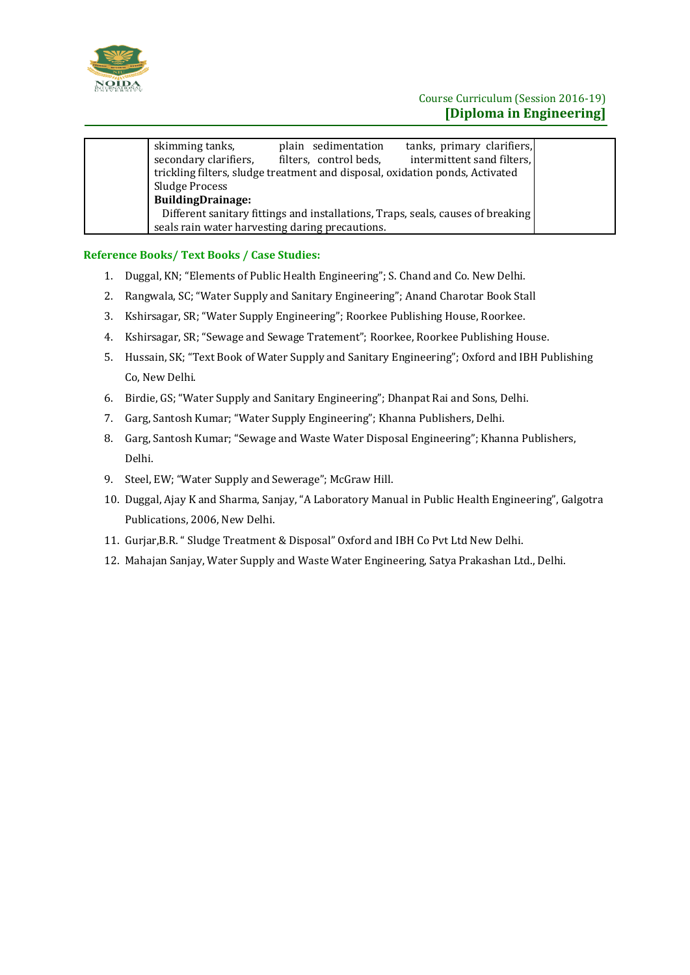

| skimming tanks,                                 | plain sedimentation                                                          | tanks, primary clarifiers,                                                      |  |
|-------------------------------------------------|------------------------------------------------------------------------------|---------------------------------------------------------------------------------|--|
| secondary clarifiers,                           | filters, control beds,                                                       | intermittent sand filters,                                                      |  |
|                                                 | trickling filters, sludge treatment and disposal, oxidation ponds, Activated |                                                                                 |  |
| Sludge Process                                  |                                                                              |                                                                                 |  |
| <b>BuildingDrainage:</b>                        |                                                                              |                                                                                 |  |
|                                                 |                                                                              | Different sanitary fittings and installations, Traps, seals, causes of breaking |  |
| seals rain water harvesting daring precautions. |                                                                              |                                                                                 |  |
|                                                 |                                                                              |                                                                                 |  |

- 1. Duggal, KN; "Elements of Public Health Engineering"; S. Chand and Co. New Delhi.
- 2. Rangwala, SC; "Water Supply and Sanitary Engineering"; Anand Charotar Book Stall
- 3. Kshirsagar, SR; "Water Supply Engineering"; Roorkee Publishing House, Roorkee.
- 4. Kshirsagar, SR; "Sewage and Sewage Tratement"; Roorkee, Roorkee Publishing House.
- 5. Hussain, SK; "Text Book of Water Supply and Sanitary Engineering"; Oxford and IBH Publishing Co, New Delhi.
- 6. Birdie, GS; "Water Supply and Sanitary Engineering"; Dhanpat Rai and Sons, Delhi.
- 7. Garg, Santosh Kumar; "Water Supply Engineering"; Khanna Publishers, Delhi.
- 8. Garg, Santosh Kumar; "Sewage and Waste Water Disposal Engineering"; Khanna Publishers, Delhi.
- 9. Steel, EW; "Water Supply and Sewerage"; McGraw Hill.
- 10. Duggal, Ajay K and Sharma, Sanjay, "A Laboratory Manual in Public Health Engineering", Galgotra Publications, 2006, New Delhi.
- 11. Gurjar,B.R. " Sludge Treatment & Disposal" Oxford and IBH Co Pvt Ltd New Delhi.
- 12. Mahajan Sanjay, Water Supply and Waste Water Engineering, Satya Prakashan Ltd., Delhi.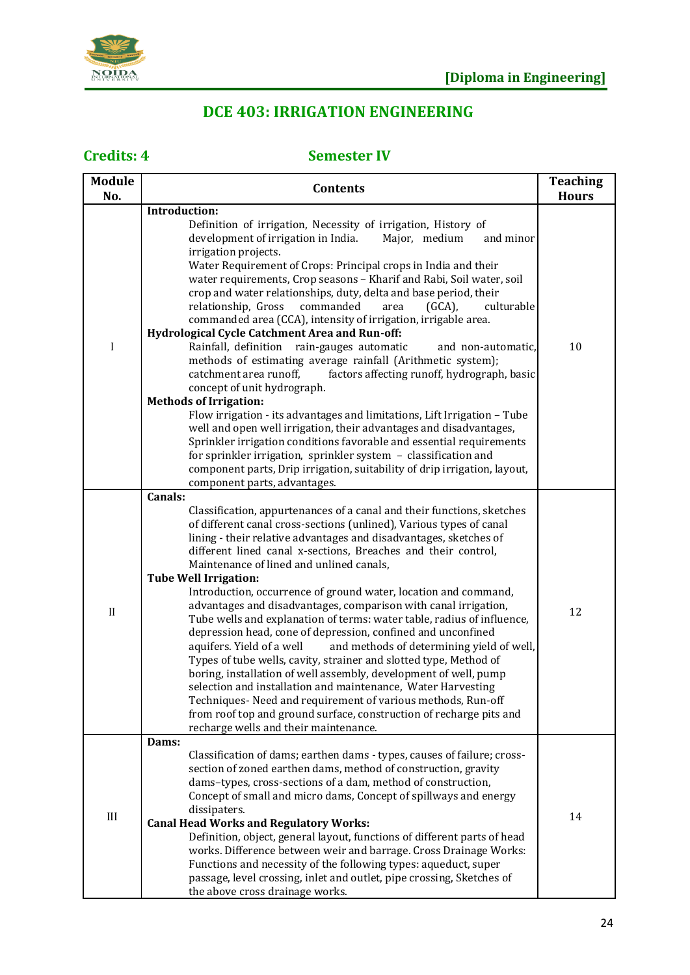

# **DCE 403: IRRIGATION ENGINEERING**

| <b>Module</b><br>No. | <b>Contents</b>                                                                                                                                                                                                                                                                                                                                                                                                                                                                                                                                                                                                                                                                                                                                                                                                                                                                                                                                                                                                                                                                                                              | <b>Teaching</b><br><b>Hours</b> |
|----------------------|------------------------------------------------------------------------------------------------------------------------------------------------------------------------------------------------------------------------------------------------------------------------------------------------------------------------------------------------------------------------------------------------------------------------------------------------------------------------------------------------------------------------------------------------------------------------------------------------------------------------------------------------------------------------------------------------------------------------------------------------------------------------------------------------------------------------------------------------------------------------------------------------------------------------------------------------------------------------------------------------------------------------------------------------------------------------------------------------------------------------------|---------------------------------|
|                      | Introduction:                                                                                                                                                                                                                                                                                                                                                                                                                                                                                                                                                                                                                                                                                                                                                                                                                                                                                                                                                                                                                                                                                                                |                                 |
| I                    | Definition of irrigation, Necessity of irrigation, History of<br>Major, medium<br>development of irrigation in India.<br>and minor<br>irrigation projects.<br>Water Requirement of Crops: Principal crops in India and their<br>water requirements, Crop seasons - Kharif and Rabi, Soil water, soil<br>crop and water relationships, duty, delta and base period, their<br>relationship, Gross<br>commanded<br>$(GCA)$ ,<br>culturable<br>area<br>commanded area (CCA), intensity of irrigation, irrigable area.                                                                                                                                                                                                                                                                                                                                                                                                                                                                                                                                                                                                            |                                 |
|                      | Hydrological Cycle Catchment Area and Run-off:<br>Rainfall, definition rain-gauges automatic<br>and non-automatic,<br>methods of estimating average rainfall (Arithmetic system);<br>catchment area runoff,<br>factors affecting runoff, hydrograph, basic<br>concept of unit hydrograph.<br><b>Methods of Irrigation:</b>                                                                                                                                                                                                                                                                                                                                                                                                                                                                                                                                                                                                                                                                                                                                                                                                   | 10                              |
|                      | Flow irrigation - its advantages and limitations, Lift Irrigation - Tube<br>well and open well irrigation, their advantages and disadvantages,<br>Sprinkler irrigation conditions favorable and essential requirements<br>for sprinkler irrigation, sprinkler system - classification and<br>component parts, Drip irrigation, suitability of drip irrigation, layout,<br>component parts, advantages.                                                                                                                                                                                                                                                                                                                                                                                                                                                                                                                                                                                                                                                                                                                       |                                 |
| $\rm II$             | Canals:<br>Classification, appurtenances of a canal and their functions, sketches<br>of different canal cross-sections (unlined), Various types of canal<br>lining - their relative advantages and disadvantages, sketches of<br>different lined canal x-sections, Breaches and their control,<br>Maintenance of lined and unlined canals,<br><b>Tube Well Irrigation:</b><br>Introduction, occurrence of ground water, location and command,<br>advantages and disadvantages, comparison with canal irrigation,<br>Tube wells and explanation of terms: water table, radius of influence,<br>depression head, cone of depression, confined and unconfined<br>and methods of determining yield of well,<br>aquifers. Yield of a well<br>Types of tube wells, cavity, strainer and slotted type, Method of<br>boring, installation of well assembly, development of well, pump<br>selection and installation and maintenance, Water Harvesting<br>Techniques-Need and requirement of various methods, Run-off<br>from roof top and ground surface, construction of recharge pits and<br>recharge wells and their maintenance. | 12                              |
| III                  | Dams:<br>Classification of dams; earthen dams - types, causes of failure; cross-<br>section of zoned earthen dams, method of construction, gravity<br>dams-types, cross-sections of a dam, method of construction,<br>Concept of small and micro dams, Concept of spillways and energy<br>dissipaters.<br><b>Canal Head Works and Regulatory Works:</b><br>Definition, object, general layout, functions of different parts of head<br>works. Difference between weir and barrage. Cross Drainage Works:                                                                                                                                                                                                                                                                                                                                                                                                                                                                                                                                                                                                                     | 14                              |
|                      | Functions and necessity of the following types: aqueduct, super<br>passage, level crossing, inlet and outlet, pipe crossing, Sketches of<br>the above cross drainage works.                                                                                                                                                                                                                                                                                                                                                                                                                                                                                                                                                                                                                                                                                                                                                                                                                                                                                                                                                  |                                 |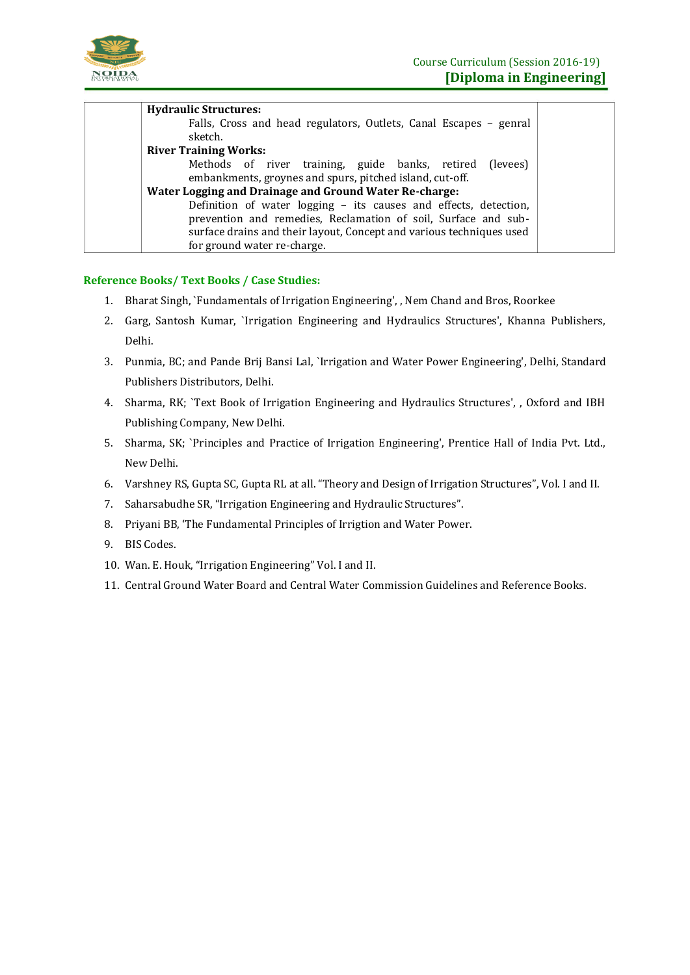

| <b>Hydraulic Structures:</b>                                         |  |
|----------------------------------------------------------------------|--|
| Falls, Cross and head regulators, Outlets, Canal Escapes - genral    |  |
| sketch.                                                              |  |
| <b>River Training Works:</b>                                         |  |
| Methods of river training, guide banks, retired<br>(levees)          |  |
| embankments, groynes and spurs, pitched island, cut-off.             |  |
| Water Logging and Drainage and Ground Water Re-charge:               |  |
| Definition of water logging - its causes and effects, detection,     |  |
| prevention and remedies, Reclamation of soil, Surface and sub-       |  |
| surface drains and their layout, Concept and various techniques used |  |
| for ground water re-charge.                                          |  |
|                                                                      |  |

- 1. Bharat Singh, `Fundamentals of Irrigation Engineering', , Nem Chand and Bros, Roorkee
- 2. Garg, Santosh Kumar, `Irrigation Engineering and Hydraulics Structures', Khanna Publishers, Delhi.
- 3. Punmia, BC; and Pande Brij Bansi Lal, `Irrigation and Water Power Engineering', Delhi, Standard Publishers Distributors, Delhi.
- 4. Sharma, RK; `Text Book of Irrigation Engineering and Hydraulics Structures', , Oxford and IBH Publishing Company, New Delhi.
- 5. Sharma, SK; `Principles and Practice of Irrigation Engineering', Prentice Hall of India Pvt. Ltd., New Delhi.
- 6. Varshney RS, Gupta SC, Gupta RL at all. "Theory and Design of Irrigation Structures", Vol. I and II.
- 7. Saharsabudhe SR, "Irrigation Engineering and Hydraulic Structures".
- 8. Priyani BB, 'The Fundamental Principles of Irrigtion and Water Power.
- 9. BIS Codes.
- 10. Wan. E. Houk, "Irrigation Engineering" Vol. I and II.
- 11. Central Ground Water Board and Central Water Commission Guidelines and Reference Books.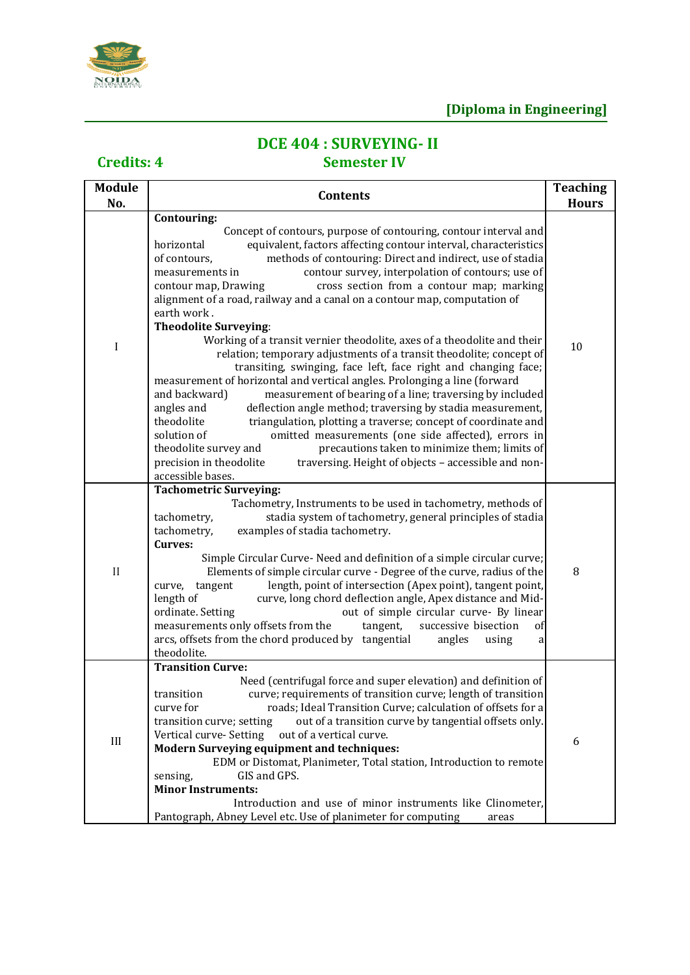

# **DCE 404 : SURVEYING- II**

| <b>Module</b><br>No. | <b>Contents</b>                                                                                                                                                                                                                                                                                                                                                                                                                                                                                                                                                                                                                                                                                                                                                                                                                                                                                                                                                                                                                                                                                                                                                                                                                                                                                                        | <b>Teaching</b><br><b>Hours</b> |
|----------------------|------------------------------------------------------------------------------------------------------------------------------------------------------------------------------------------------------------------------------------------------------------------------------------------------------------------------------------------------------------------------------------------------------------------------------------------------------------------------------------------------------------------------------------------------------------------------------------------------------------------------------------------------------------------------------------------------------------------------------------------------------------------------------------------------------------------------------------------------------------------------------------------------------------------------------------------------------------------------------------------------------------------------------------------------------------------------------------------------------------------------------------------------------------------------------------------------------------------------------------------------------------------------------------------------------------------------|---------------------------------|
| I                    | Contouring:<br>Concept of contours, purpose of contouring, contour interval and<br>equivalent, factors affecting contour interval, characteristics<br>horizontal<br>of contours,<br>methods of contouring: Direct and indirect, use of stadia<br>contour survey, interpolation of contours; use of<br>measurements in<br>cross section from a contour map; marking<br>contour map, Drawing<br>alignment of a road, railway and a canal on a contour map, computation of<br>earth work.<br><b>Theodolite Surveying:</b><br>Working of a transit vernier theodolite, axes of a theodolite and their<br>relation; temporary adjustments of a transit theodolite; concept of<br>transiting, swinging, face left, face right and changing face;<br>measurement of horizontal and vertical angles. Prolonging a line (forward<br>and backward)<br>measurement of bearing of a line; traversing by included<br>angles and<br>deflection angle method; traversing by stadia measurement,<br>theodolite<br>triangulation, plotting a traverse; concept of coordinate and<br>solution of<br>omitted measurements (one side affected), errors in<br>theodolite survey and<br>precautions taken to minimize them; limits of<br>precision in theodolite<br>traversing. Height of objects - accessible and non-<br>accessible bases. | 10                              |
| $\rm II$             | <b>Tachometric Surveying:</b><br>Tachometry, Instruments to be used in tachometry, methods of<br>stadia system of tachometry, general principles of stadia<br>tachometry,<br>tachometry,<br>examples of stadia tachometry.<br>Curves:<br>Simple Circular Curve- Need and definition of a simple circular curve;<br>Elements of simple circular curve - Degree of the curve, radius of the<br>length, point of intersection (Apex point), tangent point,<br>tangent<br>curve,<br>length of<br>curve, long chord deflection angle, Apex distance and Mid-<br>ordinate. Setting<br>out of simple circular curve- By linear<br>measurements only offsets from the<br>tangent,<br>successive bisection<br>of<br>arcs, offsets from the chord produced by tangential<br>angles<br>using<br>a<br>theodolite.                                                                                                                                                                                                                                                                                                                                                                                                                                                                                                                  | 8                               |
| III                  | <b>Transition Curve:</b><br>Need (centrifugal force and super elevation) and definition of<br>curve; requirements of transition curve; length of transition<br>transition<br>curve for<br>roads; Ideal Transition Curve; calculation of offsets for a<br>out of a transition curve by tangential offsets only.<br>transition curve; setting<br>out of a vertical curve.<br>Vertical curve- Setting<br><b>Modern Surveying equipment and techniques:</b><br>EDM or Distomat, Planimeter, Total station, Introduction to remote<br>GIS and GPS.<br>sensing,<br><b>Minor Instruments:</b><br>Introduction and use of minor instruments like Clinometer,<br>Pantograph, Abney Level etc. Use of planimeter for computing<br>areas                                                                                                                                                                                                                                                                                                                                                                                                                                                                                                                                                                                          | 6                               |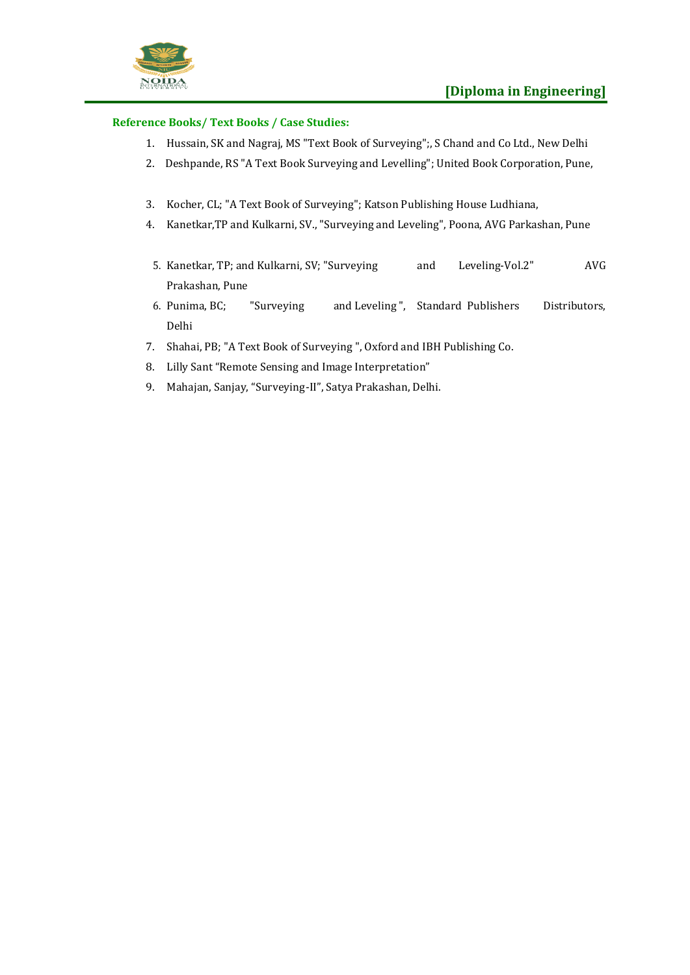

- 1. Hussain, SK and Nagraj, MS "Text Book of Surveying";, S Chand and Co Ltd., New Delhi
- 2. Deshpande, RS "A Text Book Surveying and Levelling"; United Book Corporation, Pune,
- 3. Kocher, CL; "A Text Book of Surveying"; Katson Publishing House Ludhiana,
- 4. Kanetkar,TP and Kulkarni, SV., "Surveying and Leveling", Poona, AVG Parkashan, Pune
- 5. Kanetkar, TP; and Kulkarni, SV; "Surveying and Leveling-Vol.2" AVG Prakashan, Pune
- 6. Punima, BC; "Surveying and Leveling ", Standard Publishers Distributors, Delhi
- 7. Shahai, PB; "A Text Book of Surveying ", Oxford and IBH Publishing Co.
- 8. Lilly Sant "Remote Sensing and Image Interpretation"
- 9. Mahajan, Sanjay, "Surveying-II", Satya Prakashan, Delhi.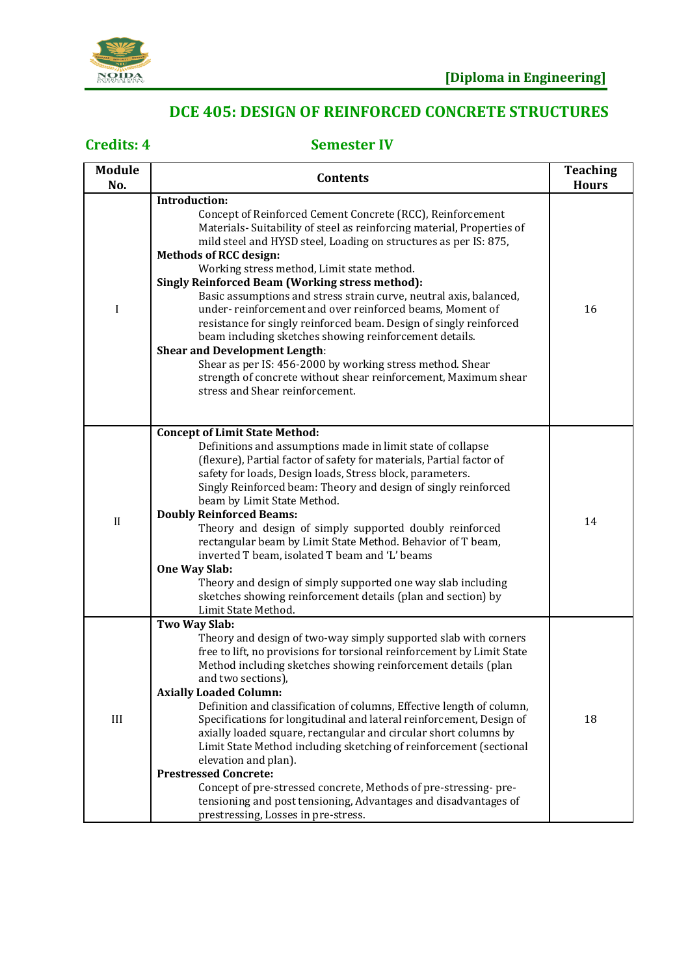

## **DCE 405: DESIGN OF REINFORCED CONCRETE STRUCTURES**

| <b>Module</b><br>No. | <b>Contents</b>                                                                                                                                                                                                                                                                                                                                                                                                                                                                                                                                                                                                                                                                                                                                                                                                                                 | <b>Teaching</b><br><b>Hours</b> |
|----------------------|-------------------------------------------------------------------------------------------------------------------------------------------------------------------------------------------------------------------------------------------------------------------------------------------------------------------------------------------------------------------------------------------------------------------------------------------------------------------------------------------------------------------------------------------------------------------------------------------------------------------------------------------------------------------------------------------------------------------------------------------------------------------------------------------------------------------------------------------------|---------------------------------|
| I                    | Introduction:<br>Concept of Reinforced Cement Concrete (RCC), Reinforcement<br>Materials- Suitability of steel as reinforcing material, Properties of<br>mild steel and HYSD steel, Loading on structures as per IS: 875,<br><b>Methods of RCC design:</b><br>Working stress method, Limit state method.<br><b>Singly Reinforced Beam (Working stress method):</b><br>Basic assumptions and stress strain curve, neutral axis, balanced,<br>under-reinforcement and over reinforced beams, Moment of<br>resistance for singly reinforced beam. Design of singly reinforced<br>beam including sketches showing reinforcement details.<br><b>Shear and Development Length:</b><br>Shear as per IS: 456-2000 by working stress method. Shear<br>strength of concrete without shear reinforcement, Maximum shear<br>stress and Shear reinforcement. | 16                              |
| $\mathbf{I}$         | <b>Concept of Limit State Method:</b><br>Definitions and assumptions made in limit state of collapse<br>(flexure), Partial factor of safety for materials, Partial factor of<br>safety for loads, Design loads, Stress block, parameters.<br>Singly Reinforced beam: Theory and design of singly reinforced<br>beam by Limit State Method.<br><b>Doubly Reinforced Beams:</b><br>Theory and design of simply supported doubly reinforced<br>rectangular beam by Limit State Method. Behavior of T beam,<br>inverted T beam, isolated T beam and 'L' beams<br>One Way Slab:<br>Theory and design of simply supported one way slab including<br>sketches showing reinforcement details (plan and section) by<br>Limit State Method.                                                                                                               | 14                              |
| III                  | Two Way Slab:<br>Theory and design of two-way simply supported slab with corners<br>free to lift, no provisions for torsional reinforcement by Limit State<br>Method including sketches showing reinforcement details (plan<br>and two sections),<br><b>Axially Loaded Column:</b><br>Definition and classification of columns, Effective length of column,<br>Specifications for longitudinal and lateral reinforcement, Design of<br>axially loaded square, rectangular and circular short columns by<br>Limit State Method including sketching of reinforcement (sectional<br>elevation and plan).<br><b>Prestressed Concrete:</b><br>Concept of pre-stressed concrete, Methods of pre-stressing-pre-<br>tensioning and post tensioning, Advantages and disadvantages of<br>prestressing, Losses in pre-stress.                              | 18                              |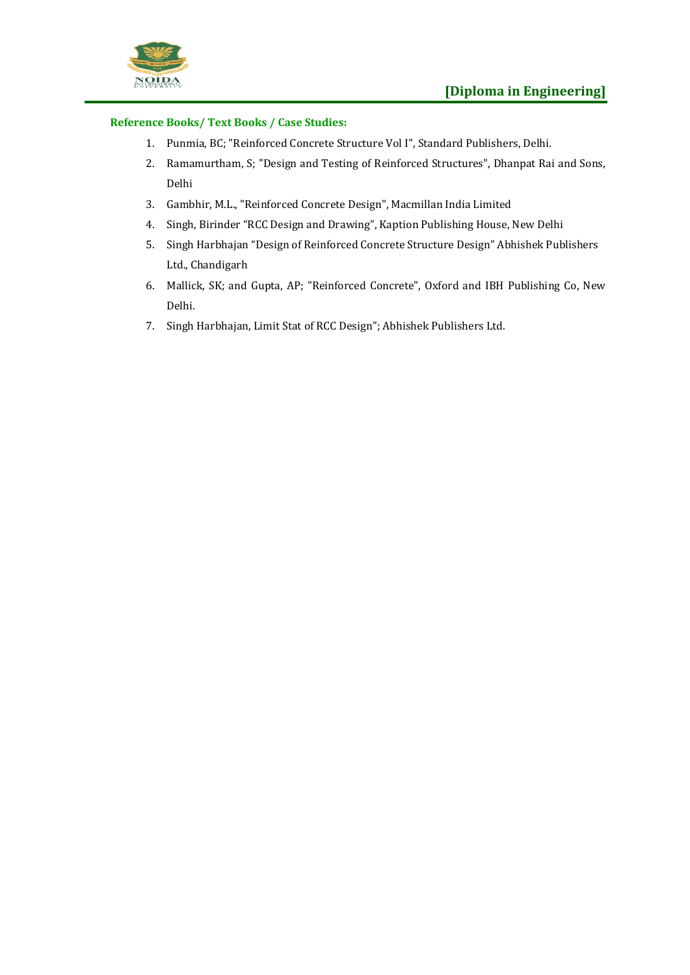

- 1. Punmia, BC; "Reinforced Concrete Structure Vol I", Standard Publishers, Delhi.
- 2. Ramamurtham, S; "Design and Testing of Reinforced Structures", Dhanpat Rai and Sons, Delhi
- 3. Gambhir, M.L., "Reinforced Concrete Design", Macmillan India Limited
- 4. Singh, Birinder "RCC Design and Drawing", Kaption Publishing House, New Delhi
- 5. Singh Harbhajan "Design of Reinforced Concrete Structure Design" Abhishek Publishers Ltd., Chandigarh
- 6. Mallick, SK; and Gupta, AP; "Reinforced Concrete", Oxford and IBH Publishing Co, New Delhi.
- 7. Singh Harbhajan, Limit Stat of RCC Design"; Abhishek Publishers Ltd.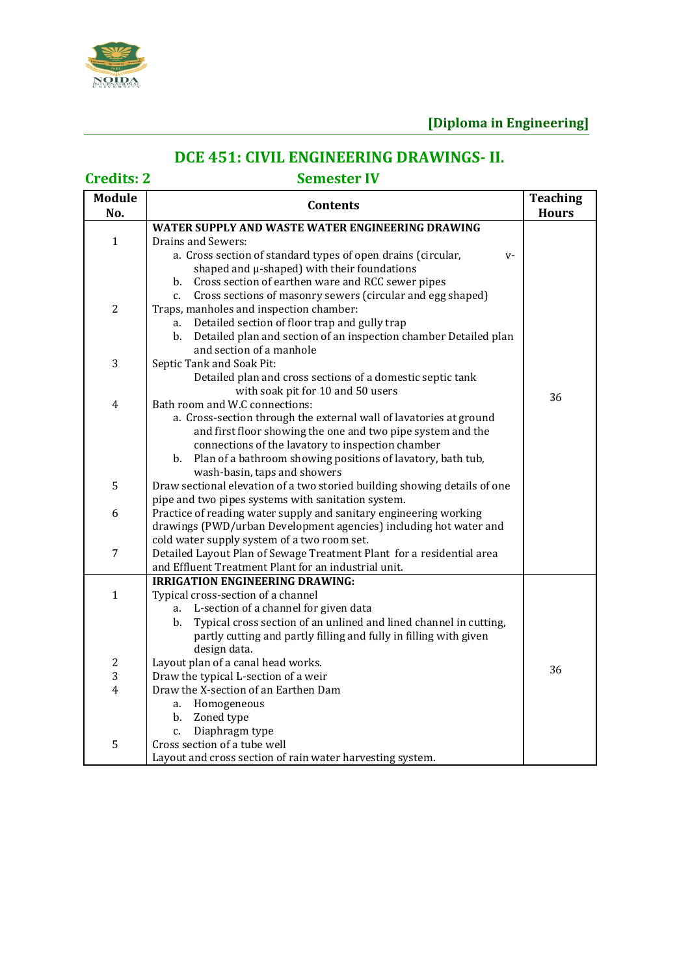

# **DCE 451: CIVIL ENGINEERING DRAWINGS- II.**

| <b>Module</b>  | <b>Teaching</b><br><b>Contents</b>                                                                                      |              |
|----------------|-------------------------------------------------------------------------------------------------------------------------|--------------|
| No.            |                                                                                                                         | <b>Hours</b> |
|                | WATER SUPPLY AND WASTE WATER ENGINEERING DRAWING                                                                        |              |
| $\mathbf{1}$   | Drains and Sewers:                                                                                                      |              |
|                | a. Cross section of standard types of open drains (circular,<br>$V -$                                                   |              |
|                | shaped and µ-shaped) with their foundations                                                                             |              |
|                | b. Cross section of earthen ware and RCC sewer pipes                                                                    |              |
|                | Cross sections of masonry sewers (circular and egg shaped)<br>$c_{\cdot}$                                               |              |
| $\overline{2}$ | Traps, manholes and inspection chamber:                                                                                 |              |
|                | Detailed section of floor trap and gully trap<br>a.                                                                     |              |
|                | Detailed plan and section of an inspection chamber Detailed plan<br>b.                                                  |              |
|                | and section of a manhole                                                                                                |              |
| 3              | Septic Tank and Soak Pit:                                                                                               |              |
|                | Detailed plan and cross sections of a domestic septic tank                                                              |              |
|                | with soak pit for 10 and 50 users                                                                                       | 36           |
| 4              | Bath room and W.C connections:                                                                                          |              |
|                | a. Cross-section through the external wall of lavatories at ground                                                      |              |
|                | and first floor showing the one and two pipe system and the                                                             |              |
|                | connections of the lavatory to inspection chamber                                                                       |              |
|                | b. Plan of a bathroom showing positions of lavatory, bath tub,                                                          |              |
|                | wash-basin, taps and showers                                                                                            |              |
| 5              | Draw sectional elevation of a two storied building showing details of one                                               |              |
| 6              | pipe and two pipes systems with sanitation system.<br>Practice of reading water supply and sanitary engineering working |              |
|                | drawings (PWD/urban Development agencies) including hot water and                                                       |              |
|                | cold water supply system of a two room set.                                                                             |              |
| 7              | Detailed Layout Plan of Sewage Treatment Plant for a residential area                                                   |              |
|                | and Effluent Treatment Plant for an industrial unit.                                                                    |              |
|                | <b>IRRIGATION ENGINEERING DRAWING:</b>                                                                                  |              |
| $\mathbf{1}$   | Typical cross-section of a channel                                                                                      |              |
|                | L-section of a channel for given data<br>a.                                                                             |              |
|                | Typical cross section of an unlined and lined channel in cutting,<br>b.                                                 |              |
|                | partly cutting and partly filling and fully in filling with given                                                       |              |
|                | design data.                                                                                                            |              |
| 2              | Layout plan of a canal head works.                                                                                      | 36           |
| 3              | Draw the typical L-section of a weir                                                                                    |              |
| $\overline{4}$ | Draw the X-section of an Earthen Dam                                                                                    |              |
|                | Homogeneous<br>a.                                                                                                       |              |
|                | b.<br>Zoned type                                                                                                        |              |
|                | Diaphragm type<br>c.                                                                                                    |              |
| 5              | Cross section of a tube well                                                                                            |              |
|                | Layout and cross section of rain water harvesting system.                                                               |              |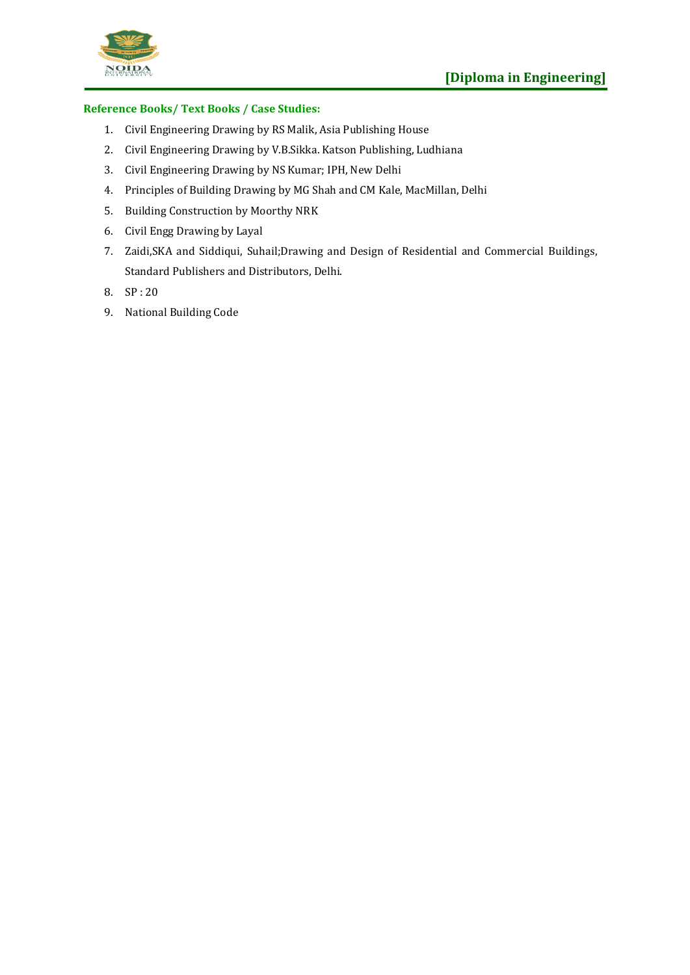

- 1. Civil Engineering Drawing by RS Malik, Asia Publishing House
- 2. Civil Engineering Drawing by V.B.Sikka. Katson Publishing, Ludhiana
- 3. Civil Engineering Drawing by NS Kumar; IPH, New Delhi
- 4. Principles of Building Drawing by MG Shah and CM Kale, MacMillan, Delhi
- 5. Building Construction by Moorthy NRK
- 6. Civil Engg Drawing by Layal
- 7. Zaidi,SKA and Siddiqui, Suhail;Drawing and Design of Residential and Commercial Buildings, Standard Publishers and Distributors, Delhi.
- 8. SP : 20
- 9. National Building Code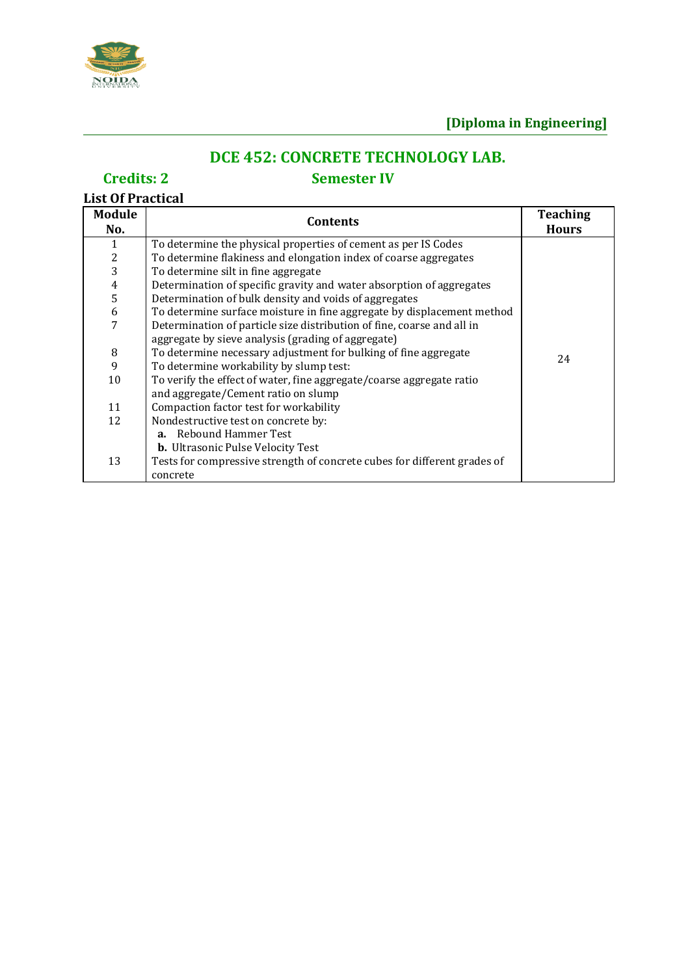

# **DCE 452: CONCRETE TECHNOLOGY LAB.**

## **Credits: 2 Semester IV**

# **List Of Practical**

| <b>Module</b><br>No. | Contents                                                                 | <b>Teaching</b><br><b>Hours</b> |
|----------------------|--------------------------------------------------------------------------|---------------------------------|
| 1                    | To determine the physical properties of cement as per IS Codes           |                                 |
|                      | To determine flakiness and elongation index of coarse aggregates         |                                 |
| $\frac{2}{3}$        | To determine silt in fine aggregate                                      |                                 |
|                      | Determination of specific gravity and water absorption of aggregates     |                                 |
| $\frac{4}{5}$        | Determination of bulk density and voids of aggregates                    |                                 |
| $\boldsymbol{6}$     | To determine surface moisture in fine aggregate by displacement method   |                                 |
| 7                    | Determination of particle size distribution of fine, coarse and all in   |                                 |
|                      | aggregate by sieve analysis (grading of aggregate)                       |                                 |
| $\, 8$               | To determine necessary adjustment for bulking of fine aggregate          | 24                              |
| 9                    | To determine workability by slump test:                                  |                                 |
| 10                   | To verify the effect of water, fine aggregate/coarse aggregate ratio     |                                 |
|                      | and aggregate/Cement ratio on slump                                      |                                 |
| 11                   | Compaction factor test for workability                                   |                                 |
| 12                   | Nondestructive test on concrete by:                                      |                                 |
|                      | <b>a.</b> Rebound Hammer Test                                            |                                 |
|                      | <b>b.</b> Ultrasonic Pulse Velocity Test                                 |                                 |
| 13                   | Tests for compressive strength of concrete cubes for different grades of |                                 |
|                      | concrete                                                                 |                                 |